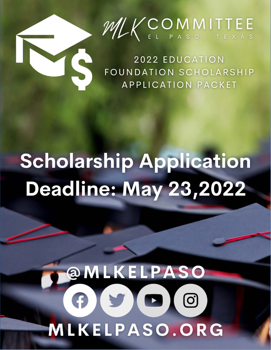

2022 EDUCATION FOUNDATION SCHOLARSHIP **APPLICATION PACKET** 

## **Scholarship Application** Deadline: May 23,2022

# **@MLKELPASO**  $\begin{picture}(100,20) \put(0,0){\line(1,0){10}} \put(15,0){\line(1,0){10}} \put(15,0){\line(1,0){10}} \put(15,0){\line(1,0){10}} \put(15,0){\line(1,0){10}} \put(15,0){\line(1,0){10}} \put(15,0){\line(1,0){10}} \put(15,0){\line(1,0){10}} \put(15,0){\line(1,0){10}} \put(15,0){\line(1,0){10}} \put(15,0){\line(1,0){10}} \put(15,0){\line($ **MLKELPASO.ORG**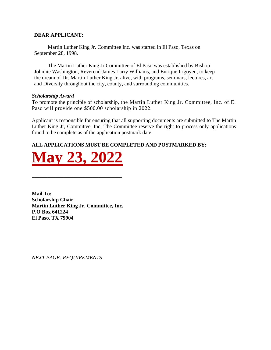#### **DEAR APPLICANT:**

Martin Luther King Jr. Committee Inc. was started in El Paso, Texas on September 28, 1998.

The Martin Luther King Jr Committee of El Paso was established by Bishop Johnnie Washington, Reverend James Larry Williams, and Enrique Irigoyen, to keep the dream of Dr. Martin Luther King Jr. alive, with programs, seminars, lectures, art and Diversity throughout the city, county, and surrounding communities.

#### *Scholarship Award*

To promote the principle of scholarship, the Martin Luther King Jr. Committee, Inc. of El Paso will provide one \$500.00 scholarship in 2022.

Applicant is responsible for ensuring that all supporting documents are submitted to The Martin Luther King Jr, Committee, Inc. The Committee reserve the right to process only applications found to be complete as of the application postmark date.

## **ALL APPLICATIONS MUST BE COMPLETED AND POSTMARKED BY:**



**\_\_\_\_\_\_\_\_\_\_\_\_\_\_\_\_\_\_\_\_\_\_\_\_\_\_\_\_\_\_\_\_\_\_**

**Mail To: Scholarship Chair Martin Luther King Jr. Committee, Inc. P.O Box 641224 El Paso, TX 79904**

*NEXT PAGE: REQUIREMENTS*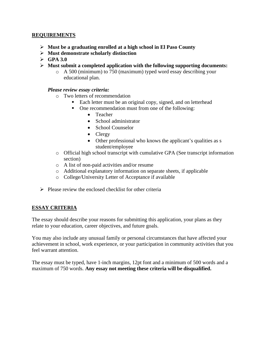#### **REQUIREMENTS**

- ➢ **Must be a graduating enrolled at a high school in El Paso County**
- ➢ **Must demonstrate scholarly distinction**
- ➢ **GPA 3.0**
- ➢ **Must submit a completed application with the following supporting documents:**
	- o A 500 (minimum) to 750 (maximum) typed word essay describing your educational plan.

#### *Please review essay criteria:*

- o Two letters of recommendation
	- Each letter must be an original copy, signed, and on letterhead
	- One recommendation must from one of the following:
		- Teacher
		- School administrator
		- School Counselor
		- Clergy
		- Other professional who knows the applicant's qualities as s student/employee
- o Official high school transcript with cumulative GPA (See transcript information section)
- o A list of non-paid activities and/or resume
- o Additional explanatory information on separate sheets, if applicable
- o College/University Letter of Acceptance if available
- $\triangleright$  Please review the enclosed checklist for other criteria

#### **ESSAY CRITERIA**

The essay should describe your reasons for submitting this application, your plans as they relate to your education, career objectives, and future goals.

You may also include any unusual family or personal circumstances that have affected your achievement in school, work experience, or your participation in community activities that you feel warrant attention.

The essay must be typed, have 1-inch margins, 12pt font and a minimum of 500 words and a maximum of 750 words. **Any essay not meeting these criteria will be disqualified.**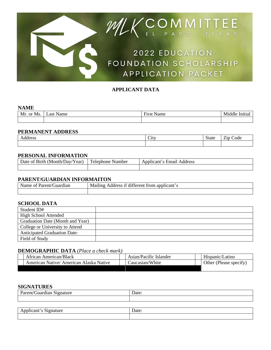

## **APPLICANT DATA**

#### **NAME**

| --------      |                |                                                |                 |  |  |  |
|---------------|----------------|------------------------------------------------|-----------------|--|--|--|
| Mr.<br>or Ms. | ∟ast ′<br>Name | $\overline{\phantom{a}}$<br>Name<br>---<br>пst | Middle<br>1t1a. |  |  |  |
|               |                |                                                |                 |  |  |  |

#### **PERMANENT ADDRESS**

| -----<br>UD. | $\sim$<br>`1 f T<br><b>CIL</b> | State | $\overline{\phantom{0}}$<br>$- \cdot$<br>`ode<br>$\angle$ 1 $\mathsf{P}$ |
|--------------|--------------------------------|-------|--------------------------------------------------------------------------|
|              |                                |       |                                                                          |

#### **PERSONAL INFORMATION**

| Date of Birth (Month/Day/Year) | Telephone Number | Email.<br>Applicant's<br>Address |
|--------------------------------|------------------|----------------------------------|
|                                |                  |                                  |

#### **PARENT/GUARDIAN INFORMAITON**

| Name of<br>* Parent/Guardian | 1.00<br>s if different from applicant's<br>Address<br>Mailing |
|------------------------------|---------------------------------------------------------------|
|                              |                                                               |

#### **SCHOOL DATA**

| Student ID#                         |  |
|-------------------------------------|--|
| <b>High School Attended</b>         |  |
| Graduation Date (Month and Year)    |  |
| College or University to Attend     |  |
| <b>Anticipated Graduation Date:</b> |  |
| Field of Study                      |  |

#### **DEMOGRAPHIC DATA** *(Place a check mark)*

| African American/Black                 | Asian/Pacific Islander | Hispanic/Latino        |
|----------------------------------------|------------------------|------------------------|
| American Native/American Alaska Native | Caucasian/White        | Other (Please specify) |
|                                        |                        |                        |

#### **SIGNATURES**

| Parent/Guardian Signature | Date: |
|---------------------------|-------|
|                           |       |
|                           |       |
| Applicant's Signature     | Date: |
|                           |       |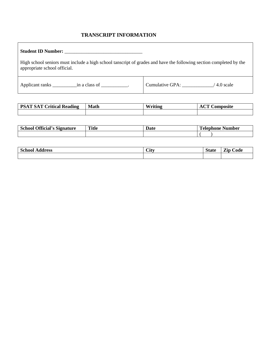## **TRANSCRIPT INFORMATION**

| High school seniors must include a high school tanscript of grades and have the following section completed by the<br>appropriate school official. |                                 |  |  |  |  |
|----------------------------------------------------------------------------------------------------------------------------------------------------|---------------------------------|--|--|--|--|
|                                                                                                                                                    | Cumulative GPA:<br>$/4.0$ scale |  |  |  |  |

| <b>PSAT SAT Critical Reading</b> | <b>Math</b> | Writing | <b>Composite</b><br>AUT |  |
|----------------------------------|-------------|---------|-------------------------|--|
|                                  |             |         |                         |  |

| $\sim$<br>Official's<br>School<br>Signature<br>יינט | <b>Title</b> | Date | ́гг<br>Lelephone Number |
|-----------------------------------------------------|--------------|------|-------------------------|
|                                                     |              |      |                         |

| $\sim$<br>$-$<br>School<br>⊾ddress<br>.vv. | $\sim$<br>™<br>ww | <b>State</b> | $\sim$<br>$\sim$<br>Code<br><i>L</i> ip |
|--------------------------------------------|-------------------|--------------|-----------------------------------------|
|                                            |                   |              |                                         |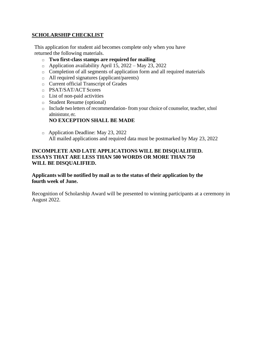### **SCHOLARSHIP CHECKLIST**

This application for student aid becomes complete only when you have returned the following materials.

- □ **Two first-class stamps are required for mailing**
- $\Box$  Application availability April 15, 2022 May 23, 2022
- $\Box$  Completion of all segments of application form and all required materials
- □ All required signatures (applicant/parents)
- □ Current official Transcript of Grades
- □ PSAT/SAT/ACT Scores
- $\Box$  List of non-paid activities
- □ Student Resume (optional)
- $\Box$  Include two letters of recommendation-from your choice of counselor, teacher, school administrator, etc.

## **NO EXCEPTION SHALL BE MADE**

□ Application Deadline: May 23, 2022 All mailed applications and required data must be postmarked by May 23, 2022

#### **INCOMPLETE AND LATE APPLICATIONS WILL BE DISQUALIFIED. ESSAYS THAT ARE LESS THAN 500 WORDS OR MORE THAN 750 WILL BE DISQUALIFIED.**

### **Applicants will be notified by mail as to the status of their application by the fourth week of June.**

Recognition of Scholarship Award will be presented to winning participants at a ceremony in August 2022.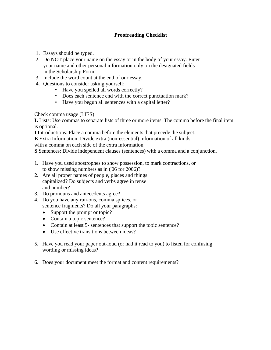## **Proofreading Checklist**

- 1. Essays should be typed.
- 2. Do NOT place your name on the essay or in the body of your essay. Enter your name and other personal information only on the designated fields in the Scholarship Form.
- 3. Include the word count at the end of our essay.
- 4. Questions to consider asking yourself:
	- Have you spelled all words correctly?
	- Does each sentence end with the correct punctuation mark?
	- Have you begun all sentences with a capital letter?

#### Check comma usage (LIES)

**L** Lists: Use commas to separate lists of three or more items. The comma before the final item is optional.

**I** Introductions: Place a comma before the elements that precede the subject.

**E** Extra Information: Divide extra (non-essential) information of all kinds

with a comma on each side of the extra information.

**S** Sentences: Divide independent clauses (sentences) with a comma and a conjunction.

- 1. Have you used apostrophes to show possession, to mark contractions, or to show missing numbers as in ('06 for 2006)?
- 2. Are all proper names of people, places and things capitalized? Do subjects and verbs agree in tense and number?
- 3. Do pronouns and antecedents agree?
- 4. Do you have any run-ons, comma splices, or sentence fragments? Do all your paragraphs:
	- Support the prompt or topic?
	- Contain a topic sentence?
	- Contain at least 5- sentences that support the topic sentence?
	- Use effective transitions between ideas?
- 5. Have you read your paper out-loud (or had it read to you) to listen for confusing wording or missing ideas?
- 6. Does your document meet the format and content requirements?